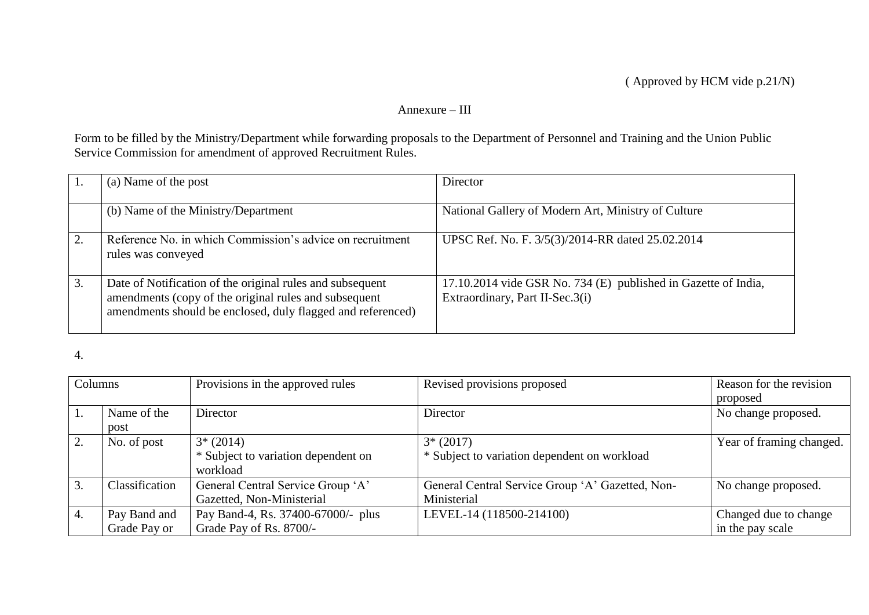## Annexure – III

Form to be filled by the Ministry/Department while forwarding proposals to the Department of Personnel and Training and the Union Public Service Commission for amendment of approved Recruitment Rules.

|    | (a) Name of the post                                                                                                                                                              | Director                                                                                          |
|----|-----------------------------------------------------------------------------------------------------------------------------------------------------------------------------------|---------------------------------------------------------------------------------------------------|
|    | (b) Name of the Ministry/Department                                                                                                                                               | National Gallery of Modern Art, Ministry of Culture                                               |
|    | Reference No. in which Commission's advice on recruitment<br>rules was conveyed                                                                                                   | UPSC Ref. No. F. 3/5(3)/2014-RR dated 25.02.2014                                                  |
| 3. | Date of Notification of the original rules and subsequent<br>amendments (copy of the original rules and subsequent<br>amendments should be enclosed, duly flagged and referenced) | 17.10.2014 vide GSR No. 734 (E) published in Gazette of India,<br>Extraordinary, Part II-Sec.3(i) |

4.

| Columns |                | Provisions in the approved rules    | Revised provisions proposed                      | Reason for the revision  |
|---------|----------------|-------------------------------------|--------------------------------------------------|--------------------------|
|         |                |                                     |                                                  | proposed                 |
|         | Name of the    | Director                            | Director                                         | No change proposed.      |
|         | post           |                                     |                                                  |                          |
|         | No. of post    | $3*(2014)$                          | $3*(2017)$                                       | Year of framing changed. |
|         |                | * Subject to variation dependent on | * Subject to variation dependent on workload     |                          |
|         |                | workload                            |                                                  |                          |
|         | Classification | General Central Service Group 'A'   | General Central Service Group 'A' Gazetted, Non- | No change proposed.      |
|         |                | Gazetted, Non-Ministerial           | Ministerial                                      |                          |
| 4.      | Pay Band and   | Pay Band-4, Rs. 37400-67000/- plus  | LEVEL-14 (118500-214100)                         | Changed due to change    |
|         | Grade Pay or   | Grade Pay of Rs. 8700/-             |                                                  | in the pay scale         |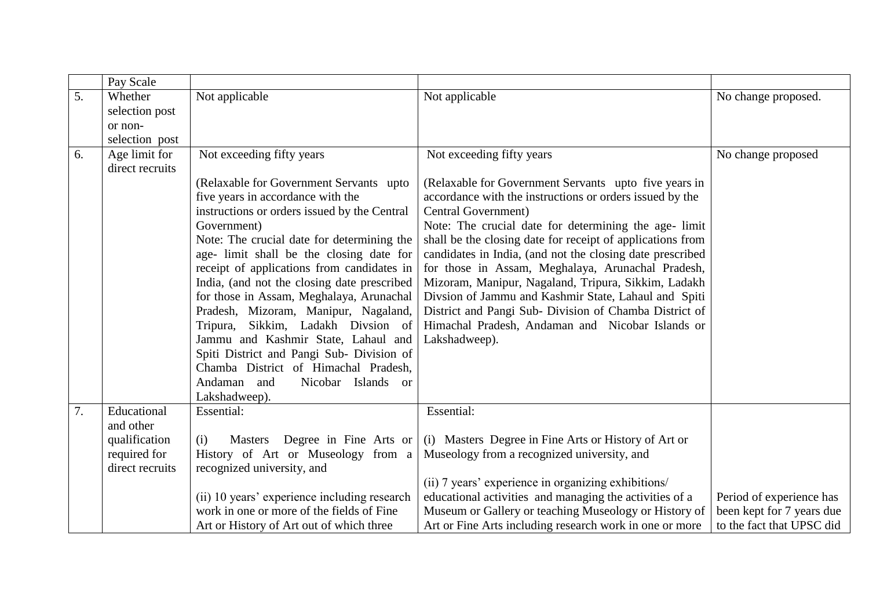|    | Pay Scale                        |                                              |                                                            |                           |
|----|----------------------------------|----------------------------------------------|------------------------------------------------------------|---------------------------|
| 5. | Whether                          | Not applicable                               | Not applicable                                             | No change proposed.       |
|    | selection post                   |                                              |                                                            |                           |
|    | or non-                          |                                              |                                                            |                           |
|    | selection post                   |                                              |                                                            |                           |
| 6. | Age limit for<br>direct recruits | Not exceeding fifty years                    | Not exceeding fifty years                                  | No change proposed        |
|    |                                  | (Relaxable for Government Servants upto      | (Relaxable for Government Servants upto five years in      |                           |
|    |                                  | five years in accordance with the            | accordance with the instructions or orders issued by the   |                           |
|    |                                  | instructions or orders issued by the Central | Central Government)                                        |                           |
|    |                                  | Government)                                  | Note: The crucial date for determining the age- limit      |                           |
|    |                                  | Note: The crucial date for determining the   | shall be the closing date for receipt of applications from |                           |
|    |                                  | age- limit shall be the closing date for     | candidates in India, (and not the closing date prescribed  |                           |
|    |                                  | receipt of applications from candidates in   | for those in Assam, Meghalaya, Arunachal Pradesh,          |                           |
|    |                                  | India, (and not the closing date prescribed  | Mizoram, Manipur, Nagaland, Tripura, Sikkim, Ladakh        |                           |
|    |                                  | for those in Assam, Meghalaya, Arunachal     | Divsion of Jammu and Kashmir State, Lahaul and Spiti       |                           |
|    |                                  | Pradesh, Mizoram, Manipur, Nagaland,         | District and Pangi Sub- Division of Chamba District of     |                           |
|    |                                  | Tripura, Sikkim, Ladakh Divsion of           | Himachal Pradesh, Andaman and Nicobar Islands or           |                           |
|    |                                  | Jammu and Kashmir State, Lahaul and          | Lakshadweep).                                              |                           |
|    |                                  | Spiti District and Pangi Sub- Division of    |                                                            |                           |
|    |                                  | Chamba District of Himachal Pradesh,         |                                                            |                           |
|    |                                  | Andaman and<br>Nicobar Islands or            |                                                            |                           |
|    |                                  | Lakshadweep).                                |                                                            |                           |
| 7. | Educational                      | Essential:                                   | Essential:                                                 |                           |
|    | and other                        |                                              |                                                            |                           |
|    | qualification                    | Masters Degree in Fine Arts or<br>(i)        | (i) Masters Degree in Fine Arts or History of Art or       |                           |
|    | required for                     | History of Art or Museology from a           | Museology from a recognized university, and                |                           |
|    | direct recruits                  | recognized university, and                   |                                                            |                           |
|    |                                  |                                              | (ii) 7 years' experience in organizing exhibitions/        |                           |
|    |                                  | (ii) 10 years' experience including research | educational activities and managing the activities of a    | Period of experience has  |
|    |                                  | work in one or more of the fields of Fine    | Museum or Gallery or teaching Museology or History of      | been kept for 7 years due |
|    |                                  | Art or History of Art out of which three     | Art or Fine Arts including research work in one or more    | to the fact that UPSC did |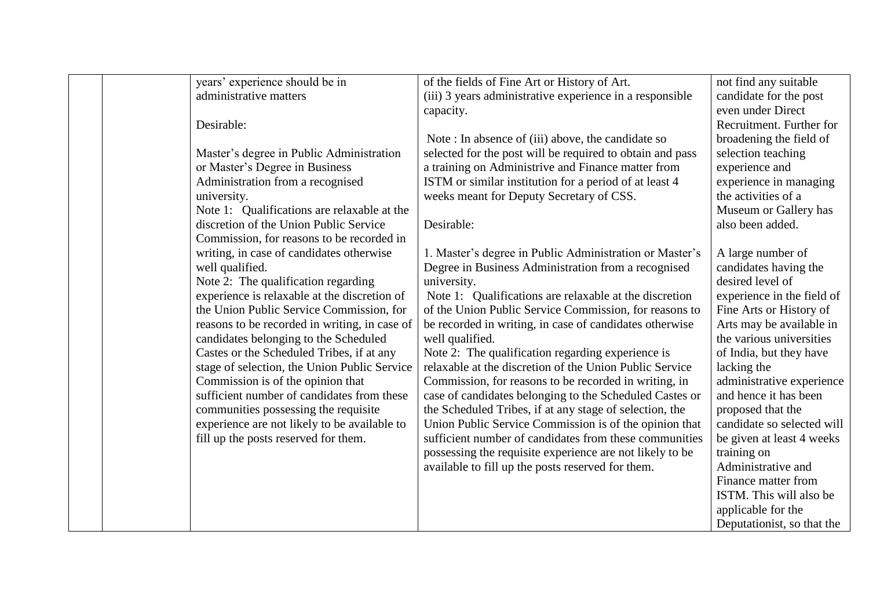| years' experience should be in                | of the fields of Fine Art or History of Art.              | not find any suitable      |
|-----------------------------------------------|-----------------------------------------------------------|----------------------------|
| administrative matters                        | (iii) 3 years administrative experience in a responsible  | candidate for the post     |
|                                               | capacity.                                                 | even under Direct          |
| Desirable:                                    |                                                           | Recruitment. Further for   |
|                                               | Note: In absence of (iii) above, the candidate so         | broadening the field of    |
| Master's degree in Public Administration      | selected for the post will be required to obtain and pass | selection teaching         |
| or Master's Degree in Business                | a training on Administrive and Finance matter from        | experience and             |
| Administration from a recognised              | ISTM or similar institution for a period of at least 4    | experience in managing     |
| university.                                   | weeks meant for Deputy Secretary of CSS.                  | the activities of a        |
| Note 1: Qualifications are relaxable at the   |                                                           | Museum or Gallery has      |
| discretion of the Union Public Service        | Desirable:                                                | also been added.           |
| Commission, for reasons to be recorded in     |                                                           |                            |
| writing, in case of candidates otherwise      | 1. Master's degree in Public Administration or Master's   | A large number of          |
| well qualified.                               | Degree in Business Administration from a recognised       | candidates having the      |
| Note 2: The qualification regarding           | university.                                               | desired level of           |
| experience is relaxable at the discretion of  | Note 1: Qualifications are relaxable at the discretion    | experience in the field of |
| the Union Public Service Commission, for      | of the Union Public Service Commission, for reasons to    | Fine Arts or History of    |
| reasons to be recorded in writing, in case of | be recorded in writing, in case of candidates otherwise   | Arts may be available in   |
| candidates belonging to the Scheduled         | well qualified.                                           | the various universities   |
| Castes or the Scheduled Tribes, if at any     | Note 2: The qualification regarding experience is         | of India, but they have    |
| stage of selection, the Union Public Service  | relaxable at the discretion of the Union Public Service   | lacking the                |
| Commission is of the opinion that             | Commission, for reasons to be recorded in writing, in     | administrative experience  |
| sufficient number of candidates from these    | case of candidates belonging to the Scheduled Castes or   | and hence it has been      |
| communities possessing the requisite          | the Scheduled Tribes, if at any stage of selection, the   | proposed that the          |
| experience are not likely to be available to  | Union Public Service Commission is of the opinion that    | candidate so selected will |
| fill up the posts reserved for them.          | sufficient number of candidates from these communities    | be given at least 4 weeks  |
|                                               | possessing the requisite experience are not likely to be  | training on                |
|                                               | available to fill up the posts reserved for them.         | Administrative and         |
|                                               |                                                           | Finance matter from        |
|                                               |                                                           | ISTM. This will also be    |
|                                               |                                                           | applicable for the         |
|                                               |                                                           | Deputationist, so that the |
|                                               |                                                           |                            |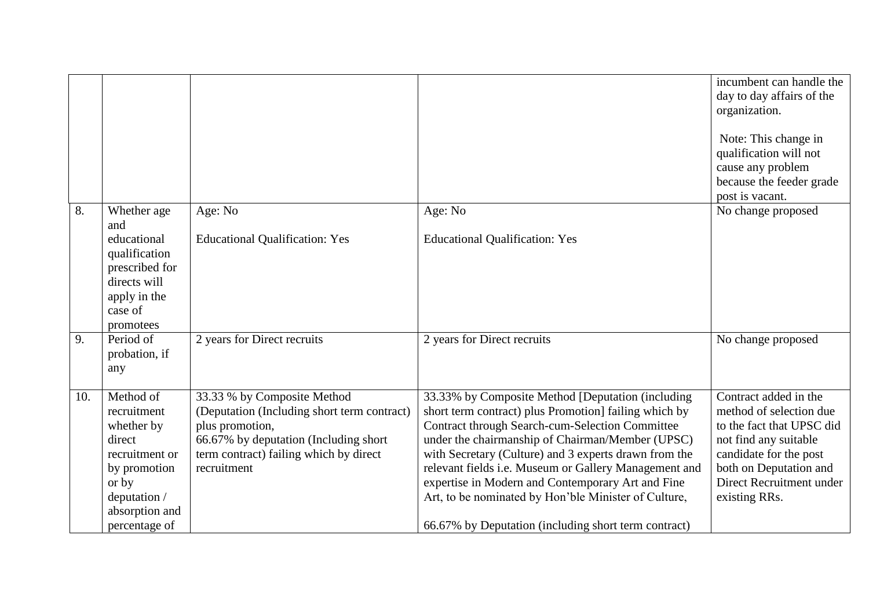|     |                                                                                                                                                |                                                                                                                                                                                                 |                                                                                                                                                                                                                                                                                                                                                                                                                                                                                                                 | incumbent can handle the<br>day to day affairs of the<br>organization.<br>Note: This change in<br>qualification will not<br>cause any problem<br>because the feeder grade<br>post is vacant.            |
|-----|------------------------------------------------------------------------------------------------------------------------------------------------|-------------------------------------------------------------------------------------------------------------------------------------------------------------------------------------------------|-----------------------------------------------------------------------------------------------------------------------------------------------------------------------------------------------------------------------------------------------------------------------------------------------------------------------------------------------------------------------------------------------------------------------------------------------------------------------------------------------------------------|---------------------------------------------------------------------------------------------------------------------------------------------------------------------------------------------------------|
| 8.  | Whether age<br>and<br>educational<br>qualification<br>prescribed for<br>directs will<br>apply in the<br>case of<br>promotees                   | Age: No<br><b>Educational Qualification: Yes</b>                                                                                                                                                | Age: No<br><b>Educational Qualification: Yes</b>                                                                                                                                                                                                                                                                                                                                                                                                                                                                | No change proposed                                                                                                                                                                                      |
| 9.  | Period of<br>probation, if<br>any                                                                                                              | 2 years for Direct recruits                                                                                                                                                                     | 2 years for Direct recruits                                                                                                                                                                                                                                                                                                                                                                                                                                                                                     | No change proposed                                                                                                                                                                                      |
| 10. | Method of<br>recruitment<br>whether by<br>direct<br>recruitment or<br>by promotion<br>or by<br>deputation /<br>absorption and<br>percentage of | 33.33 % by Composite Method<br>(Deputation (Including short term contract)<br>plus promotion,<br>66.67% by deputation (Including short<br>term contract) failing which by direct<br>recruitment | 33.33% by Composite Method [Deputation (including<br>short term contract) plus Promotion] failing which by<br><b>Contract through Search-cum-Selection Committee</b><br>under the chairmanship of Chairman/Member (UPSC)<br>with Secretary (Culture) and 3 experts drawn from the<br>relevant fields i.e. Museum or Gallery Management and<br>expertise in Modern and Contemporary Art and Fine<br>Art, to be nominated by Hon'ble Minister of Culture,<br>66.67% by Deputation (including short term contract) | Contract added in the<br>method of selection due<br>to the fact that UPSC did<br>not find any suitable<br>candidate for the post<br>both on Deputation and<br>Direct Recruitment under<br>existing RRs. |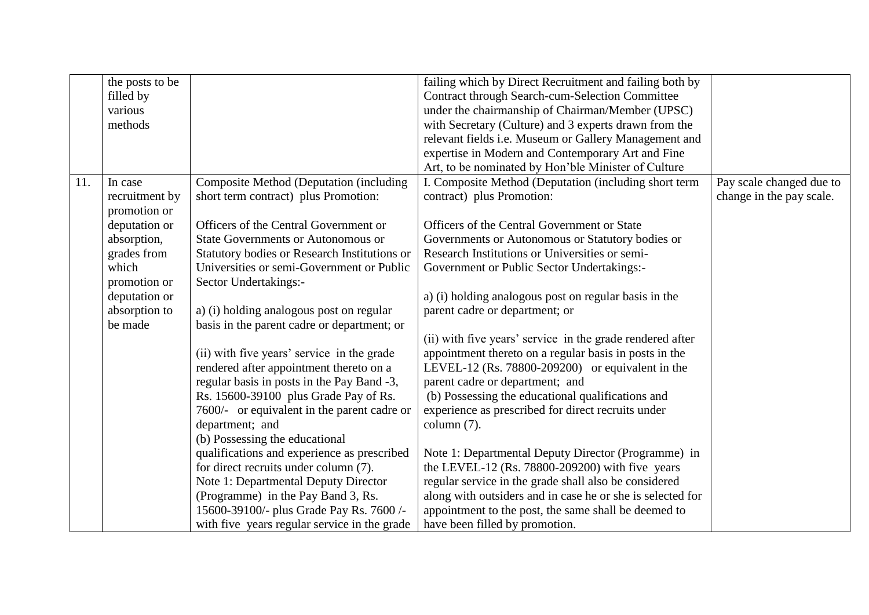|     | the posts to be |                                                | failing which by Direct Recruitment and failing both by    |                          |
|-----|-----------------|------------------------------------------------|------------------------------------------------------------|--------------------------|
|     | filled by       |                                                | <b>Contract through Search-cum-Selection Committee</b>     |                          |
|     | various         |                                                | under the chairmanship of Chairman/Member (UPSC)           |                          |
|     | methods         |                                                | with Secretary (Culture) and 3 experts drawn from the      |                          |
|     |                 |                                                | relevant fields i.e. Museum or Gallery Management and      |                          |
|     |                 |                                                | expertise in Modern and Contemporary Art and Fine          |                          |
|     |                 |                                                | Art, to be nominated by Hon'ble Minister of Culture        |                          |
| 11. | In case         | <b>Composite Method (Deputation (including</b> | I. Composite Method (Deputation (including short term      | Pay scale changed due to |
|     | recruitment by  | short term contract) plus Promotion:           | contract) plus Promotion:                                  | change in the pay scale. |
|     | promotion or    |                                                |                                                            |                          |
|     | deputation or   | Officers of the Central Government or          | Officers of the Central Government or State                |                          |
|     | absorption,     | <b>State Governments or Autonomous or</b>      | Governments or Autonomous or Statutory bodies or           |                          |
|     | grades from     | Statutory bodies or Research Institutions or   | Research Institutions or Universities or semi-             |                          |
|     | which           | Universities or semi-Government or Public      | Government or Public Sector Undertakings:-                 |                          |
|     | promotion or    | Sector Undertakings:-                          |                                                            |                          |
|     | deputation or   |                                                | a) (i) holding analogous post on regular basis in the      |                          |
|     | absorption to   | a) (i) holding analogous post on regular       | parent cadre or department; or                             |                          |
|     | be made         | basis in the parent cadre or department; or    |                                                            |                          |
|     |                 |                                                | (ii) with five years' service in the grade rendered after  |                          |
|     |                 | (ii) with five years' service in the grade     | appointment thereto on a regular basis in posts in the     |                          |
|     |                 | rendered after appointment thereto on a        | LEVEL-12 (Rs. 78800-209200) or equivalent in the           |                          |
|     |                 | regular basis in posts in the Pay Band -3,     | parent cadre or department; and                            |                          |
|     |                 | Rs. 15600-39100 plus Grade Pay of Rs.          | (b) Possessing the educational qualifications and          |                          |
|     |                 | 7600/- or equivalent in the parent cadre or    | experience as prescribed for direct recruits under         |                          |
|     |                 | department; and                                | column $(7)$ .                                             |                          |
|     |                 | (b) Possessing the educational                 |                                                            |                          |
|     |                 | qualifications and experience as prescribed    | Note 1: Departmental Deputy Director (Programme) in        |                          |
|     |                 | for direct recruits under column (7).          | the LEVEL-12 (Rs. $78800-209200$ ) with five years         |                          |
|     |                 | Note 1: Departmental Deputy Director           | regular service in the grade shall also be considered      |                          |
|     |                 | (Programme) in the Pay Band 3, Rs.             | along with outsiders and in case he or she is selected for |                          |
|     |                 | 15600-39100/- plus Grade Pay Rs. 7600 /-       | appointment to the post, the same shall be deemed to       |                          |
|     |                 | with five years regular service in the grade   | have been filled by promotion.                             |                          |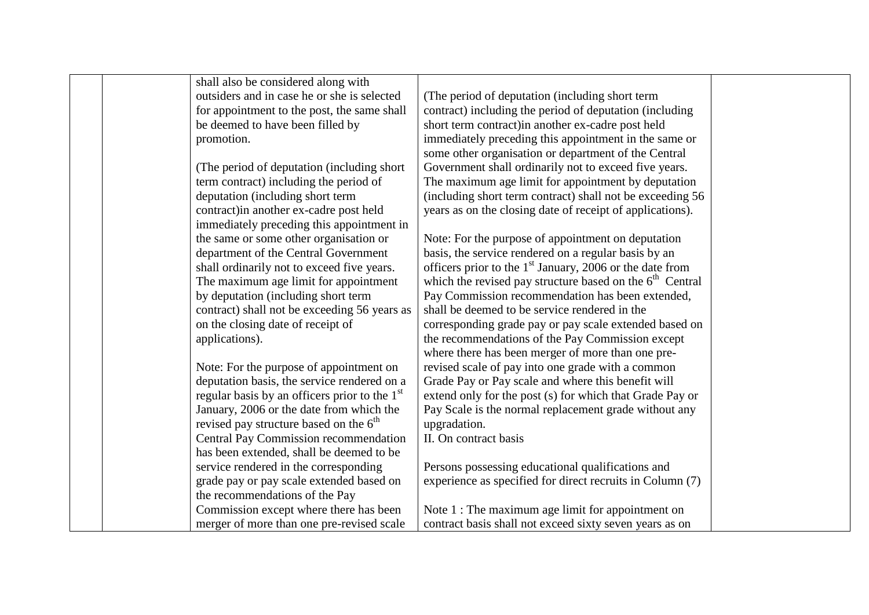| shall also be considered along with                       |                                                            |  |
|-----------------------------------------------------------|------------------------------------------------------------|--|
| outsiders and in case he or she is selected               | (The period of deputation (including short term)           |  |
| for appointment to the post, the same shall               | contract) including the period of deputation (including    |  |
| be deemed to have been filled by                          | short term contract) in another ex-cadre post held         |  |
| promotion.                                                | immediately preceding this appointment in the same or      |  |
|                                                           | some other organisation or department of the Central       |  |
| (The period of deputation (including short)               | Government shall ordinarily not to exceed five years.      |  |
| term contract) including the period of                    | The maximum age limit for appointment by deputation        |  |
| deputation (including short term                          | (including short term contract) shall not be exceeding 56  |  |
| contract) in another ex-cadre post held                   | years as on the closing date of receipt of applications).  |  |
| immediately preceding this appointment in                 |                                                            |  |
| the same or some other organisation or                    | Note: For the purpose of appointment on deputation         |  |
| department of the Central Government                      | basis, the service rendered on a regular basis by an       |  |
| shall ordinarily not to exceed five years.                | officers prior to the $1st$ January, 2006 or the date from |  |
| The maximum age limit for appointment                     | which the revised pay structure based on the $6th$ Central |  |
| by deputation (including short term                       | Pay Commission recommendation has been extended,           |  |
| contract) shall not be exceeding 56 years as              | shall be deemed to be service rendered in the              |  |
| on the closing date of receipt of                         | corresponding grade pay or pay scale extended based on     |  |
| applications).                                            | the recommendations of the Pay Commission except           |  |
|                                                           | where there has been merger of more than one pre-          |  |
| Note: For the purpose of appointment on                   | revised scale of pay into one grade with a common          |  |
| deputation basis, the service rendered on a               | Grade Pay or Pay scale and where this benefit will         |  |
| regular basis by an officers prior to the 1 <sup>st</sup> | extend only for the post (s) for which that Grade Pay or   |  |
| January, 2006 or the date from which the                  | Pay Scale is the normal replacement grade without any      |  |
| revised pay structure based on the $6th$                  | upgradation.                                               |  |
| <b>Central Pay Commission recommendation</b>              | II. On contract basis                                      |  |
| has been extended, shall be deemed to be                  |                                                            |  |
| service rendered in the corresponding                     | Persons possessing educational qualifications and          |  |
| grade pay or pay scale extended based on                  | experience as specified for direct recruits in Column (7)  |  |
| the recommendations of the Pay                            |                                                            |  |
| Commission except where there has been                    | Note 1 : The maximum age limit for appointment on          |  |
| merger of more than one pre-revised scale                 | contract basis shall not exceed sixty seven years as on    |  |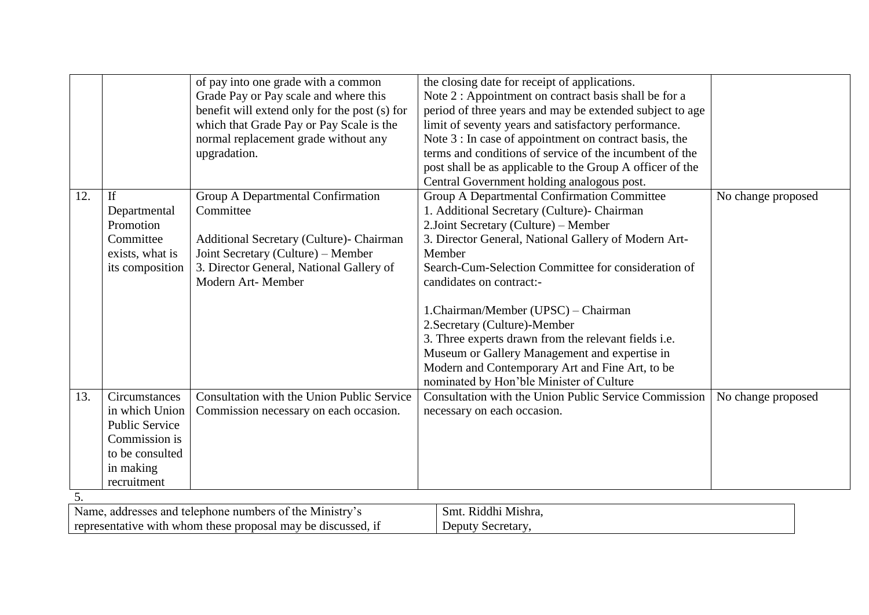|     |                                                                                   | of pay into one grade with a common           | the closing date for receipt of applications.                |                    |
|-----|-----------------------------------------------------------------------------------|-----------------------------------------------|--------------------------------------------------------------|--------------------|
|     |                                                                                   | Grade Pay or Pay scale and where this         | Note 2 : Appointment on contract basis shall be for a        |                    |
|     |                                                                                   | benefit will extend only for the post (s) for | period of three years and may be extended subject to age     |                    |
|     |                                                                                   | which that Grade Pay or Pay Scale is the      | limit of seventy years and satisfactory performance.         |                    |
|     |                                                                                   | normal replacement grade without any          | Note 3 : In case of appointment on contract basis, the       |                    |
|     |                                                                                   | upgradation.                                  | terms and conditions of service of the incumbent of the      |                    |
|     |                                                                                   |                                               | post shall be as applicable to the Group A officer of the    |                    |
|     |                                                                                   |                                               | Central Government holding analogous post.                   |                    |
| 12. | If                                                                                | Group A Departmental Confirmation             | Group A Departmental Confirmation Committee                  | No change proposed |
|     | Departmental                                                                      | Committee                                     | 1. Additional Secretary (Culture)- Chairman                  |                    |
|     | Promotion                                                                         |                                               | 2. Joint Secretary (Culture) – Member                        |                    |
|     | Committee                                                                         | Additional Secretary (Culture)- Chairman      | 3. Director General, National Gallery of Modern Art-         |                    |
|     | exists, what is                                                                   | Joint Secretary (Culture) – Member            | Member                                                       |                    |
|     | its composition                                                                   | 3. Director General, National Gallery of      | Search-Cum-Selection Committee for consideration of          |                    |
|     |                                                                                   | Modern Art-Member                             | candidates on contract:-                                     |                    |
|     |                                                                                   |                                               |                                                              |                    |
|     |                                                                                   |                                               | 1.Chairman/Member (UPSC) - Chairman                          |                    |
|     |                                                                                   |                                               | 2. Secretary (Culture)-Member                                |                    |
|     |                                                                                   |                                               | 3. Three experts drawn from the relevant fields i.e.         |                    |
|     |                                                                                   |                                               | Museum or Gallery Management and expertise in                |                    |
|     |                                                                                   |                                               | Modern and Contemporary Art and Fine Art, to be              |                    |
|     |                                                                                   |                                               | nominated by Hon'ble Minister of Culture                     |                    |
| 13. | Circumstances                                                                     | Consultation with the Union Public Service    | <b>Consultation with the Union Public Service Commission</b> | No change proposed |
|     | in which Union                                                                    | Commission necessary on each occasion.        | necessary on each occasion.                                  |                    |
|     | <b>Public Service</b>                                                             |                                               |                                                              |                    |
|     | Commission is                                                                     |                                               |                                                              |                    |
|     | to be consulted                                                                   |                                               |                                                              |                    |
|     | in making                                                                         |                                               |                                                              |                    |
|     | recruitment                                                                       |                                               |                                                              |                    |
| 5.  |                                                                                   |                                               |                                                              |                    |
|     | Name, addresses and telephone numbers of the Ministry's<br>Smt. Riddhi Mishra,    |                                               |                                                              |                    |
|     | representative with whom these proposal may be discussed, if<br>Deputy Secretary, |                                               |                                                              |                    |